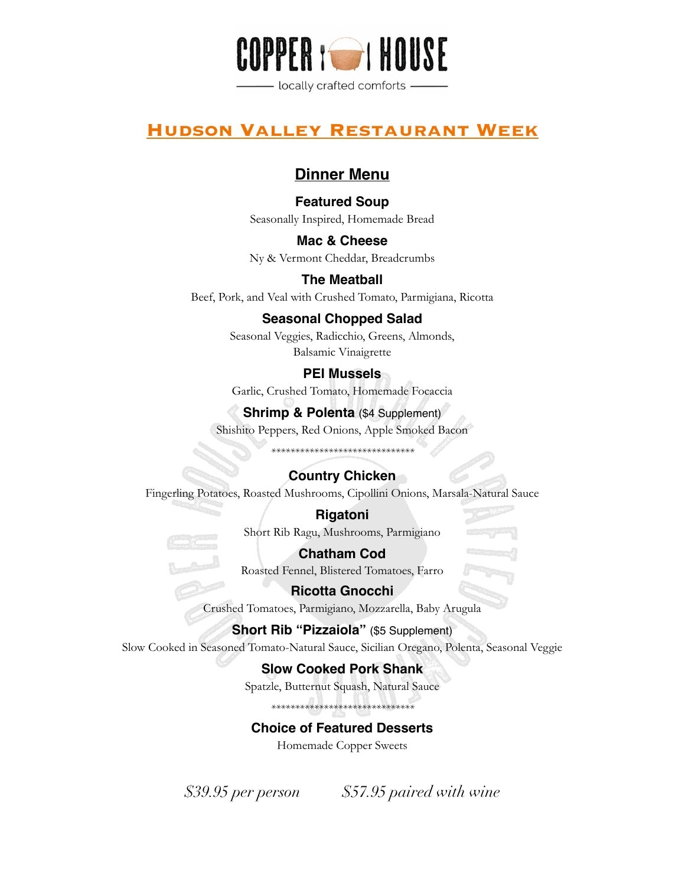

## **Hudson Valley Restaurant Week**

## **Dinner Menu**

### **Featured Soup**

Seasonally Inspired, Homemade Bread

**Mac & Cheese** Ny & Vermont Cheddar, Breadcrumbs

**The Meatball**

Beef, Pork, and Veal with Crushed Tomato, Parmigiana, Ricotta

### **Seasonal Chopped Salad**

Seasonal Veggies, Radicchio, Greens, Almonds, Balsamic Vinaigrette

## **PEI Mussels**

Garlic, Crushed Tomato, Homemade Focaccia

## **Shrimp & Polenta** (\$4 Supplement)

Shishito Peppers, Red Onions, Apple Smoked Bacon

*\*\*\*\*\*\*\*\*\*\*\*\*\*\*\*\*\*\*\*\*\*\*\*\*\*\*\*\*\*\**

## **Country Chicken**

Fingerling Potatoes, Roasted Mushrooms, Cipollini Onions, Marsala-Natural Sauce

**Rigatoni** Short Rib Ragu, Mushrooms, Parmigiano

**Chatham Cod** Roasted Fennel, Blistered Tomatoes, Farro

**Ricotta Gnocchi** Crushed Tomatoes, Parmigiano, Mozzarella, Baby Arugula

**Short Rib "Pizzaiola"** (\$5 Supplement)

Slow Cooked in Seasoned Tomato-Natural Sauce, Sicilian Oregano, Polenta, Seasonal Veggie

## **Slow Cooked Pork Shank**

Spatzle, Butternut Squash, Natural Sauce

*\*\*\*\*\*\*\*\*\*\*\*\*\*\*\*\*\*\*\*\*\*\*\*\*\*\*\*\*\*\**

**Choice of Featured Desserts**

Homemade Copper Sweets

*\$39.95 per person \$57.95 paired with wine*